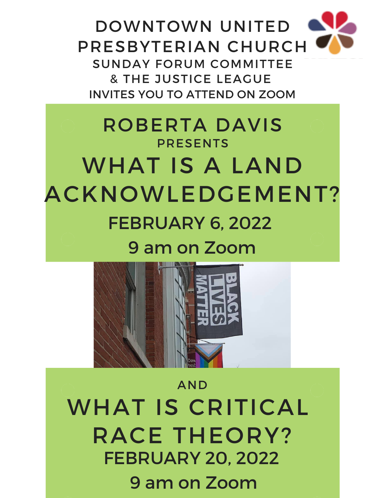DOWNTOWN UNITED PRESBYTERIAN CHURCH SUNDAY FORUM COMMITTEE & THE JUSTICE LEAGUE INVITES YOU TO ATTEND ON ZOOM

## ROBERTA DAVIS **PRESENTS** WHAT IS A LAND ACKNOWLEDGEMENT? FEBRUARY 6, 2022 9 am on Zoom



## AND WHAT IS CRITICAL RACE THEORY? FEBRUARY 20, 2022 9 am on Zoom